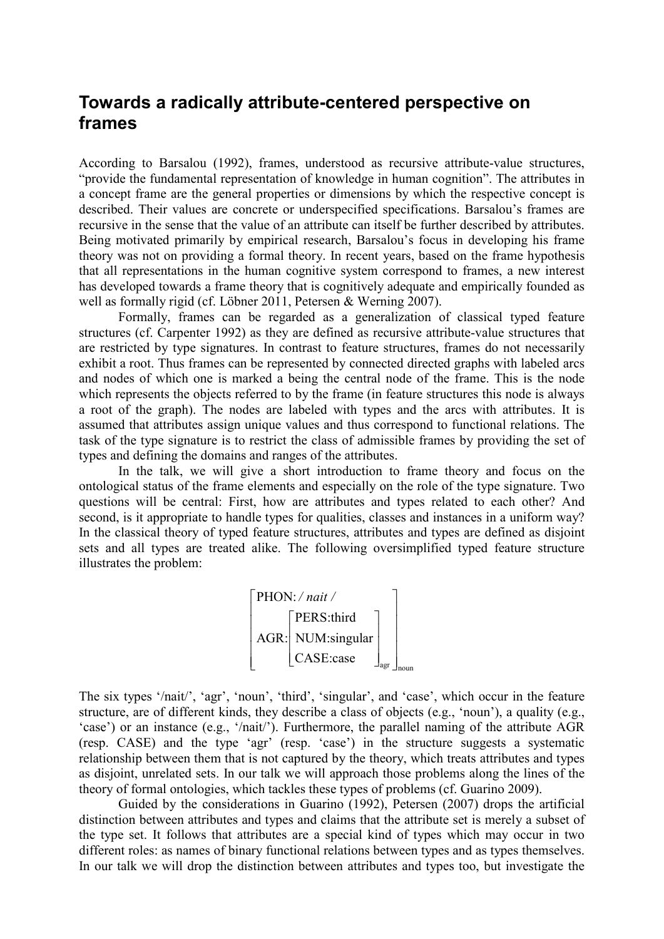## **Towards a radically attribute-centered perspective on frames**

According to Barsalou (1992), frames, understood as recursive attribute-value structures, "provide the fundamental representation of knowledge in human cognition". The attributes in a concept frame are the general properties or dimensions by which the respective concept is described. Their values are concrete or underspecified specifications. Barsalou's frames are recursive in the sense that the value of an attribute can itself be further described by attributes. Being motivated primarily by empirical research, Barsalou's focus in developing his frame theory was not on providing a formal theory. In recent years, based on the frame hypothesis that all representations in the human cognitive system correspond to frames, a new interest has developed towards a frame theory that is cognitively adequate and empirically founded as well as formally rigid (cf. Löbner 2011, Petersen & Werning 2007).

Formally, frames can be regarded as a generalization of classical typed feature structures (cf. Carpenter 1992) as they are defined as recursive attribute-value structures that are restricted by type signatures. In contrast to feature structures, frames do not necessarily exhibit a root. Thus frames can be represented by connected directed graphs with labeled arcs and nodes of which one is marked a being the central node of the frame. This is the node which represents the objects referred to by the frame (in feature structures this node is always a root of the graph). The nodes are labeled with types and the arcs with attributes. It is assumed that attributes assign unique values and thus correspond to functional relations. The task of the type signature is to restrict the class of admissible frames by providing the set of types and defining the domains and ranges of the attributes.

In the talk, we will give a short introduction to frame theory and focus on the ontological status of the frame elements and especially on the role of the type signature. Two questions will be central: First, how are attributes and types related to each other? And second, is it appropriate to handle types for qualities, classes and instances in a uniform way? In the classical theory of typed feature structures, attributes and types are defined as disjoint sets and all types are treated alike. The following oversimplified typed feature structure illustrates the problem:



The six types '/nait/', 'agr', 'noun', 'third', 'singular', and 'case', which occur in the feature structure, are of different kinds, they describe a class of objects (e.g., 'noun'), a quality (e.g., 'case') or an instance (e.g., '/nait/'). Furthermore, the parallel naming of the attribute AGR (resp. CASE) and the type 'agr' (resp. 'case') in the structure suggests a systematic relationship between them that is not captured by the theory, which treats attributes and types as disjoint, unrelated sets. In our talk we will approach those problems along the lines of the theory of formal ontologies, which tackles these types of problems (cf. Guarino 2009).

Guided by the considerations in Guarino (1992), Petersen (2007) drops the artificial distinction between attributes and types and claims that the attribute set is merely a subset of the type set. It follows that attributes are a special kind of types which may occur in two different roles: as names of binary functional relations between types and as types themselves. In our talk we will drop the distinction between attributes and types too, but investigate the